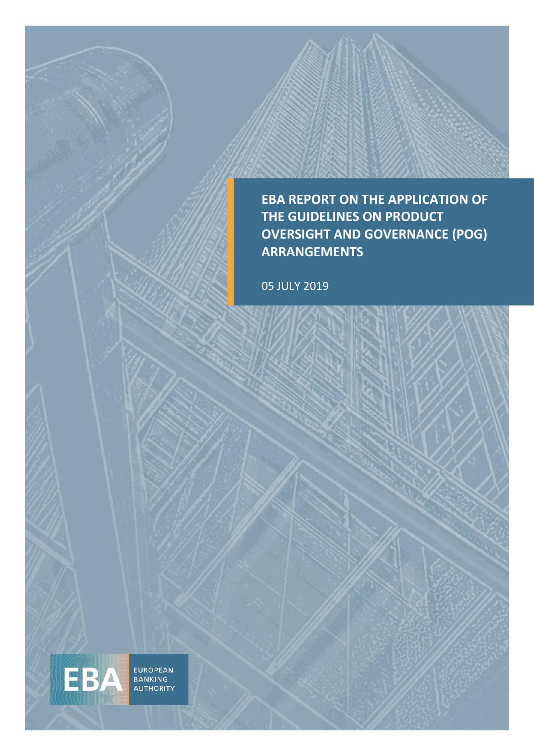**EBA REPORT ON THE APPLICATION OF THE GUIDELINES ON PRODUCT OVERSIGHT AND GOVERNANCE (POG) ARRANGEMENTS** 

05 JULY 2019

EUROPEAN<br>BANKING<br>AUTHORITY

EBA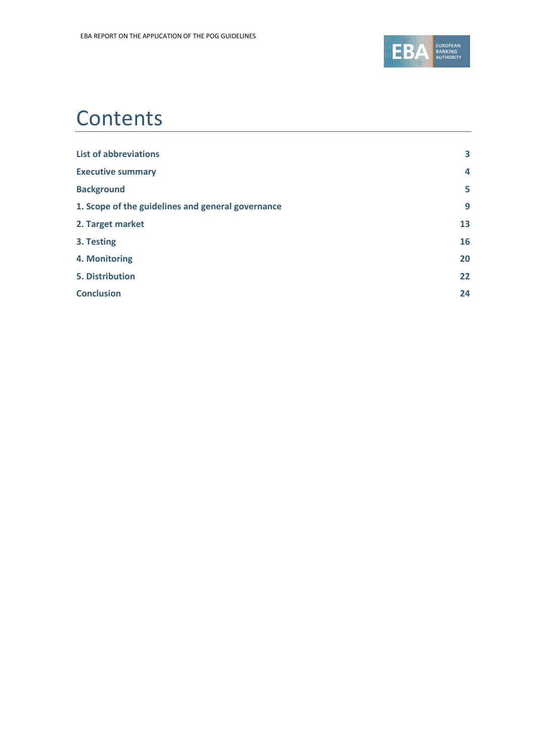

## **Contents**

| <b>List of abbreviations</b>                      | 3  |
|---------------------------------------------------|----|
| <b>Executive summary</b>                          | 4  |
| <b>Background</b>                                 | 5  |
| 1. Scope of the guidelines and general governance | 9  |
| 2. Target market                                  | 13 |
| 3. Testing                                        | 16 |
| 4. Monitoring                                     | 20 |
| <b>5. Distribution</b>                            | 22 |
| <b>Conclusion</b>                                 | 24 |
|                                                   |    |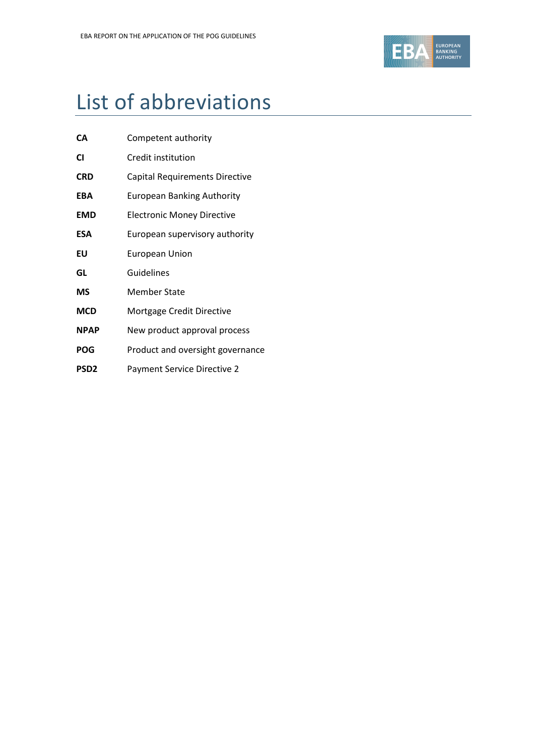

# List of abbreviations

| CА         | Competent authority               |
|------------|-----------------------------------|
| CI         | Credit institution                |
| <b>CRD</b> | Capital Requirements Directive    |
| EBA        | <b>European Banking Authority</b> |
| <b>EMD</b> | Electronic Money Directive        |
| ESA        | European supervisory authority    |
| EU         | <b>European Union</b>             |
| GL         | Guidelines                        |
| ΜS         | <b>Member State</b>               |
| <b>MCD</b> | Mortgage Credit Directive         |
| NPAP       | New product approval process      |
| POG        | Product and oversight governance  |
| PSD2       | Payment Service Directive 2       |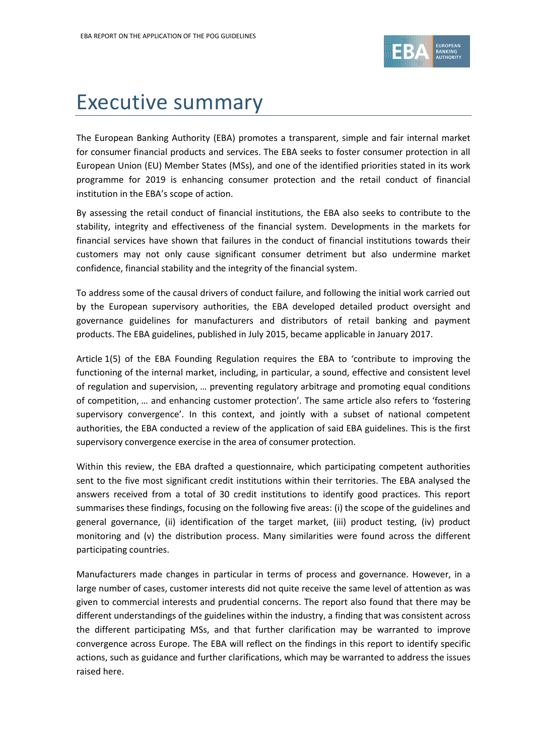

# Executive summary

The European Banking Authority (EBA) promotes a transparent, simple and fair internal market for consumer financial products and services. The EBA seeks to foster consumer protection in all European Union (EU) Member States (MSs), and one of the identified priorities stated in its work programme for 2019 is enhancing consumer protection and the retail conduct of financial institution in the EBA's scope of action.

By assessing the retail conduct of financial institutions, the EBA also seeks to contribute to the stability, integrity and effectiveness of the financial system. Developments in the markets for financial services have shown that failures in the conduct of financial institutions towards their customers may not only cause significant consumer detriment but also undermine market confidence, financial stability and the integrity of the financial system.

To address some of the causal drivers of conduct failure, and following the initial work carried out by the European supervisory authorities, the EBA developed detailed product oversight and governance guidelines for manufacturers and distributors of retail banking and payment products. The EBA guidelines, published in July 2015, became applicable in January 2017.

Article 1(5) of the EBA Founding Regulation requires the EBA to 'contribute to improving the functioning of the internal market, including, in particular, a sound, effective and consistent level of regulation and supervision, … preventing regulatory arbitrage and promoting equal conditions of competition, … and enhancing customer protection'. The same article also refers to 'fostering supervisory convergence'. In this context, and jointly with a subset of national competent authorities, the EBA conducted a review of the application of said EBA guidelines. This is the first supervisory convergence exercise in the area of consumer protection.

Within this review, the EBA drafted a questionnaire, which participating competent authorities sent to the five most significant credit institutions within their territories. The EBA analysed the answers received from a total of 30 credit institutions to identify good practices. This report summarises these findings, focusing on the following five areas: (i) the scope of the guidelines and general governance, (ii) identification of the target market, (iii) product testing, (iv) product monitoring and (v) the distribution process. Many similarities were found across the different participating countries.

Manufacturers made changes in particular in terms of process and governance. However, in a large number of cases, customer interests did not quite receive the same level of attention as was given to commercial interests and prudential concerns. The report also found that there may be different understandings of the guidelines within the industry, a finding that was consistent across the different participating MSs, and that further clarification may be warranted to improve convergence across Europe. The EBA will reflect on the findings in this report to identify specific actions, such as guidance and further clarifications, which may be warranted to address the issues raised here.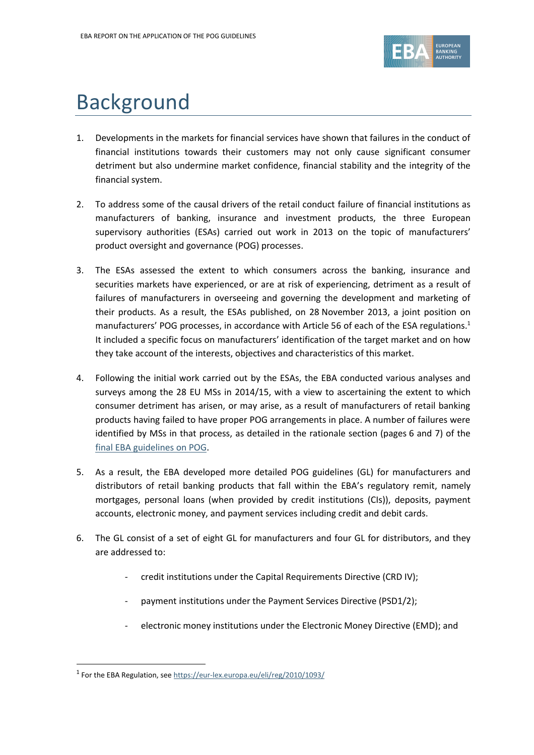

# Background

- 1. Developments in the markets for financial services have shown that failures in the conduct of financial institutions towards their customers may not only cause significant consumer detriment but also undermine market confidence, financial stability and the integrity of the financial system.
- 2. To address some of the causal drivers of the retail conduct failure of financial institutions as manufacturers of banking, insurance and investment products, the three European supervisory authorities (ESAs) carried out work in 2013 on the topic of manufacturers' product oversight and governance (POG) processes.
- 3. The ESAs assessed the extent to which consumers across the banking, insurance and securities markets have experienced, or are at risk of experiencing, detriment as a result of failures of manufacturers in overseeing and governing the development and marketing of their products. As a result, the ESAs published, on 28 November 2013, a joint position on manufacturers' POG processes, in accordance with Article 56 of each of the ESA regulations.<sup>1</sup> It included a specific focus on manufacturers' identification of the target market and on how they take account of the interests, objectives and characteristics of this market.
- 4. Following the initial work carried out by the ESAs, the EBA conducted various analyses and surveys among the 28 EU MSs in 2014/15, with a view to ascertaining the extent to which consumer detriment has arisen, or may arise, as a result of manufacturers of retail banking products having failed to have proper POG arrangements in place. A number of failures were identified by MSs in that process, as detailed in the rationale section (pages 6 and 7) of the [final EBA guidelines on POG.](https://eba.europa.eu/documents/10180/1141044/EBA-GL-2015-18+Final+report+on+Guidelines+on+product+oversight+and+governance.pdf)
- 5. As a result, the EBA developed more detailed POG guidelines (GL) for manufacturers and distributors of retail banking products that fall within the EBA's regulatory remit, namely mortgages, personal loans (when provided by credit institutions (CIs)), deposits, payment accounts, electronic money, and payment services including credit and debit cards.
- 6. The GL consist of a set of eight GL for manufacturers and four GL for distributors, and they are addressed to:
	- credit institutions under the Capital Requirements Directive (CRD IV);
	- payment institutions under the Payment Services Directive (PSD1/2);
	- electronic money institutions under the Electronic Money Directive (EMD); and

1

<sup>&</sup>lt;sup>1</sup> For the EBA Regulation, se[e https://eur-lex.europa.eu/eli/reg/2010/1093/](https://eur-lex.europa.eu/eli/reg/2010/1093/)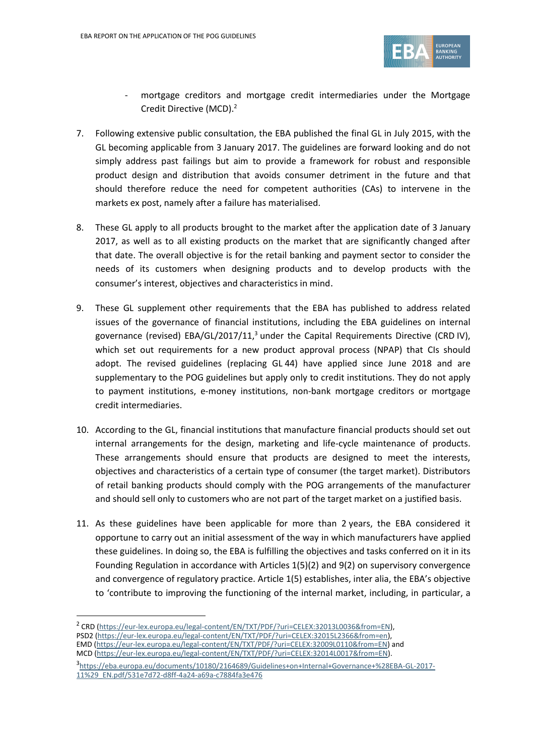

- mortgage creditors and mortgage credit intermediaries under the Mortgage Credit Directive (MCD). 2
- 7. Following extensive public consultation, the EBA published the final GL in July 2015, with the GL becoming applicable from 3 January 2017. The guidelines are forward looking and do not simply address past failings but aim to provide a framework for robust and responsible product design and distribution that avoids consumer detriment in the future and that should therefore reduce the need for competent authorities (CAs) to intervene in the markets ex post, namely after a failure has materialised.
- 8. These GL apply to all products brought to the market after the application date of 3 January 2017, as well as to all existing products on the market that are significantly changed after that date. The overall objective is for the retail banking and payment sector to consider the needs of its customers when designing products and to develop products with the consumer's interest, objectives and characteristics in mind.
- 9. These GL supplement other requirements that the EBA has published to address related issues of the governance of financial institutions, including the EBA guidelines on internal governance (revised) EBA/GL/2017/11,<sup>3</sup> under the Capital Requirements Directive (CRD IV), which set out requirements for a new product approval process (NPAP) that CIs should adopt. The revised guidelines (replacing GL 44) have applied since June 2018 and are supplementary to the POG guidelines but apply only to credit institutions. They do not apply to payment institutions, e-money institutions, non-bank mortgage creditors or mortgage credit intermediaries.
- 10. According to the GL, financial institutions that manufacture financial products should set out internal arrangements for the design, marketing and life-cycle maintenance of products. These arrangements should ensure that products are designed to meet the interests, objectives and characteristics of a certain type of consumer (the target market). Distributors of retail banking products should comply with the POG arrangements of the manufacturer and should sell only to customers who are not part of the target market on a justified basis.
- 11. As these guidelines have been applicable for more than 2 years, the EBA considered it opportune to carry out an initial assessment of the way in which manufacturers have applied these guidelines. In doing so, the EBA is fulfilling the objectives and tasks conferred on it in its Founding Regulation in accordance with Articles 1(5)(2) and 9(2) on supervisory convergence and convergence of regulatory practice. Article 1(5) establishes, inter alia, the EBA's objective to 'contribute to improving the functioning of the internal market, including, in particular, a

f

<sup>&</sup>lt;sup>2</sup> CRD [\(https://eur-lex.europa.eu/legal-content/EN/TXT/PDF/?uri=CELEX:32013L0036&from=EN\)](https://eur-lex.europa.eu/legal-content/EN/TXT/PDF/?uri=CELEX:32013L0036&from=EN), PSD2 [\(https://eur-lex.europa.eu/legal-content/EN/TXT/PDF/?uri=CELEX:32015L2366&from=en\)](https://eur-lex.europa.eu/legal-content/EN/TXT/PDF/?uri=CELEX:32015L2366&from=en),

EMD [\(https://eur-lex.europa.eu/legal-content/EN/TXT/PDF/?uri=CELEX:32009L0110&from=EN\)](https://eur-lex.europa.eu/legal-content/EN/TXT/PDF/?uri=CELEX:32009L0110&from=EN) and MCD [\(https://eur-lex.europa.eu/legal-content/EN/TXT/PDF/?uri=CELEX:32014L0017&from=EN\)](https://eur-lex.europa.eu/legal-content/EN/TXT/PDF/?uri=CELEX:32014L0017&from=EN).

<sup>3</sup> [https://eba.europa.eu/documents/10180/2164689/Guidelines+on+Internal+Governance+%28EBA-GL-2017-](https://eba.europa.eu/documents/10180/2164689/Guidelines+on+Internal+Governance+%28EBA-GL-2017-11%29_EN.pdf/531e7d72-d8ff-4a24-a69a-c7884fa3e476) [11%29\\_EN.pdf/531e7d72-d8ff-4a24-a69a-c7884fa3e476](https://eba.europa.eu/documents/10180/2164689/Guidelines+on+Internal+Governance+%28EBA-GL-2017-11%29_EN.pdf/531e7d72-d8ff-4a24-a69a-c7884fa3e476)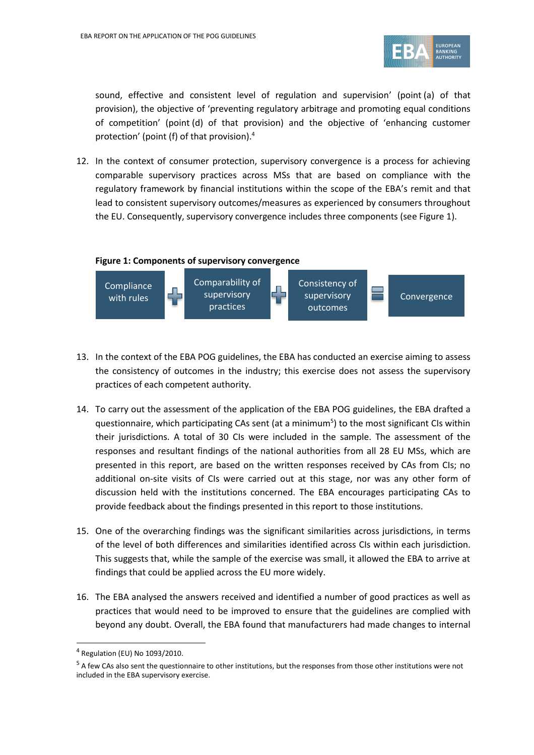

sound, effective and consistent level of regulation and supervision' (point (a) of that provision), the objective of 'preventing regulatory arbitrage and promoting equal conditions of competition' (point (d) of that provision) and the objective of 'enhancing customer protection' (point (f) of that provision). 4

12. In the context of consumer protection, supervisory convergence is a process for achieving comparable supervisory practices across MSs that are based on compliance with the regulatory framework by financial institutions within the scope of the EBA's remit and that lead to consistent supervisory outcomes/measures as experienced by consumers throughout the EU. Consequently, supervisory convergence includes three components (see Figure 1).



- 13. In the context of the EBA POG guidelines, the EBA has conducted an exercise aiming to assess the consistency of outcomes in the industry; this exercise does not assess the supervisory practices of each competent authority.
- 14. To carry out the assessment of the application of the EBA POG guidelines, the EBA drafted a questionnaire, which participating CAs sent (at a minimum<sup>5</sup>) to the most significant CIs within their jurisdictions. A total of 30 CIs were included in the sample. The assessment of the responses and resultant findings of the national authorities from all 28 EU MSs, which are presented in this report, are based on the written responses received by CAs from CIs; no additional on-site visits of CIs were carried out at this stage, nor was any other form of discussion held with the institutions concerned. The EBA encourages participating CAs to provide feedback about the findings presented in this report to those institutions.
- 15. One of the overarching findings was the significant similarities across jurisdictions, in terms of the level of both differences and similarities identified across CIs within each jurisdiction. This suggests that, while the sample of the exercise was small, it allowed the EBA to arrive at findings that could be applied across the EU more widely.
- 16. The EBA analysed the answers received and identified a number of good practices as well as practices that would need to be improved to ensure that the guidelines are complied with beyond any doubt. Overall, the EBA found that manufacturers had made changes to internal

1

<sup>4</sup> Regulation (EU) No 1093/2010.

<sup>&</sup>lt;sup>5</sup> A few CAs also sent the questionnaire to other institutions, but the responses from those other institutions were not included in the EBA supervisory exercise.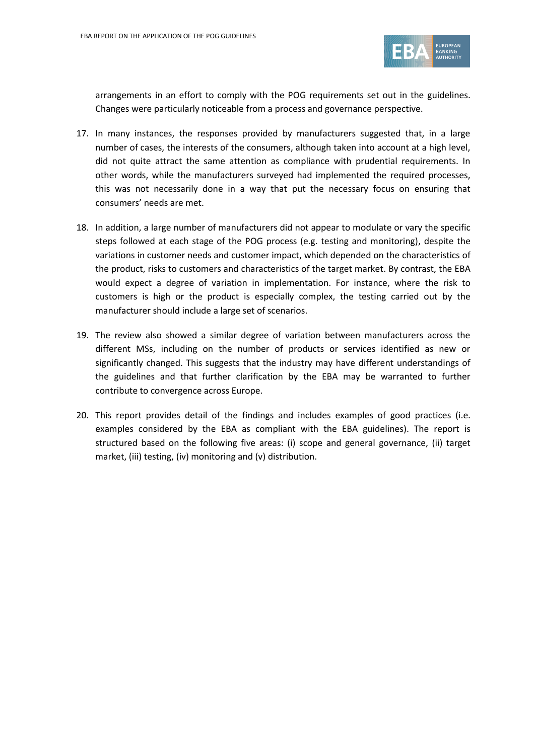

arrangements in an effort to comply with the POG requirements set out in the guidelines. Changes were particularly noticeable from a process and governance perspective.

- 17. In many instances, the responses provided by manufacturers suggested that, in a large number of cases, the interests of the consumers, although taken into account at a high level, did not quite attract the same attention as compliance with prudential requirements. In other words, while the manufacturers surveyed had implemented the required processes, this was not necessarily done in a way that put the necessary focus on ensuring that consumers' needs are met.
- 18. In addition, a large number of manufacturers did not appear to modulate or vary the specific steps followed at each stage of the POG process (e.g. testing and monitoring), despite the variations in customer needs and customer impact, which depended on the characteristics of the product, risks to customers and characteristics of the target market. By contrast, the EBA would expect a degree of variation in implementation. For instance, where the risk to customers is high or the product is especially complex, the testing carried out by the manufacturer should include a large set of scenarios.
- 19. The review also showed a similar degree of variation between manufacturers across the different MSs, including on the number of products or services identified as new or significantly changed. This suggests that the industry may have different understandings of the guidelines and that further clarification by the EBA may be warranted to further contribute to convergence across Europe.
- 20. This report provides detail of the findings and includes examples of good practices (i.e. examples considered by the EBA as compliant with the EBA guidelines). The report is structured based on the following five areas: (i) scope and general governance, (ii) target market, (iii) testing, (iv) monitoring and (v) distribution.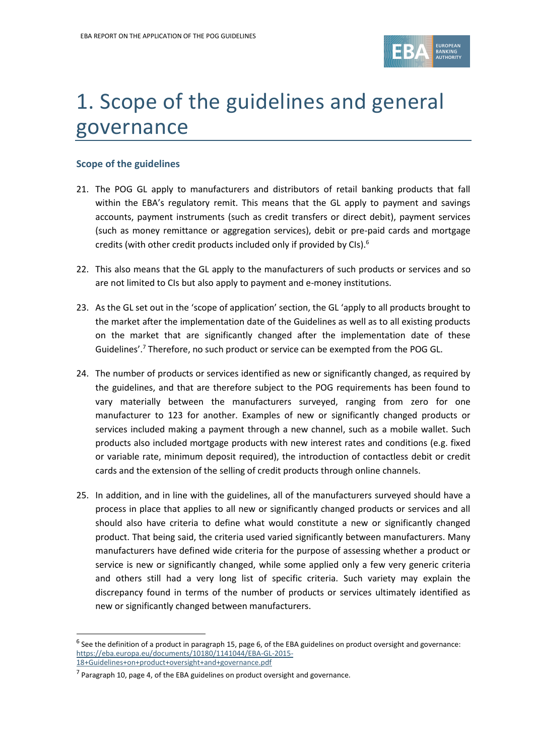

# 1. Scope of the guidelines and general governance

## **Scope of the guidelines**

- 21. The POG GL apply to manufacturers and distributors of retail banking products that fall within the EBA's regulatory remit. This means that the GL apply to payment and savings accounts, payment instruments (such as credit transfers or direct debit), payment services (such as money remittance or aggregation services), debit or pre-paid cards and mortgage credits (with other credit products included only if provided by CIs).<sup>6</sup>
- 22. This also means that the GL apply to the manufacturers of such products or services and so are not limited to CIs but also apply to payment and e-money institutions.
- 23. As the GL set out in the 'scope of application' section, the GL 'apply to all products brought to the market after the implementation date of the Guidelines as well as to all existing products on the market that are significantly changed after the implementation date of these Guidelines'. <sup>7</sup> Therefore, no such product or service can be exempted from the POG GL.
- 24. The number of products or services identified as new or significantly changed, as required by the guidelines, and that are therefore subject to the POG requirements has been found to vary materially between the manufacturers surveyed, ranging from zero for one manufacturer to 123 for another. Examples of new or significantly changed products or services included making a payment through a new channel, such as a mobile wallet. Such products also included mortgage products with new interest rates and conditions (e.g. fixed or variable rate, minimum deposit required), the introduction of contactless debit or credit cards and the extension of the selling of credit products through online channels.
- 25. In addition, and in line with the guidelines, all of the manufacturers surveyed should have a process in place that applies to all new or significantly changed products or services and all should also have criteria to define what would constitute a new or significantly changed product. That being said, the criteria used varied significantly between manufacturers. Many manufacturers have defined wide criteria for the purpose of assessing whether a product or service is new or significantly changed, while some applied only a few very generic criteria and others still had a very long list of specific criteria. Such variety may explain the discrepancy found in terms of the number of products or services ultimately identified as new or significantly changed between manufacturers.

1

 $^6$  See the definition of a product in paragraph 15, page 6, of the EBA guidelines on product oversight and governance: [https://eba.europa.eu/documents/10180/1141044/EBA-GL-2015-](https://eba.europa.eu/documents/10180/1141044/EBA-GL-2015-18+Guidelines+on+product+oversight+and+governance.pdf) [18+Guidelines+on+product+oversight+and+governance.pdf](https://eba.europa.eu/documents/10180/1141044/EBA-GL-2015-18+Guidelines+on+product+oversight+and+governance.pdf)

 $<sup>7</sup>$  Paragraph 10, page 4, of the EBA guidelines on product oversight and governance.</sup>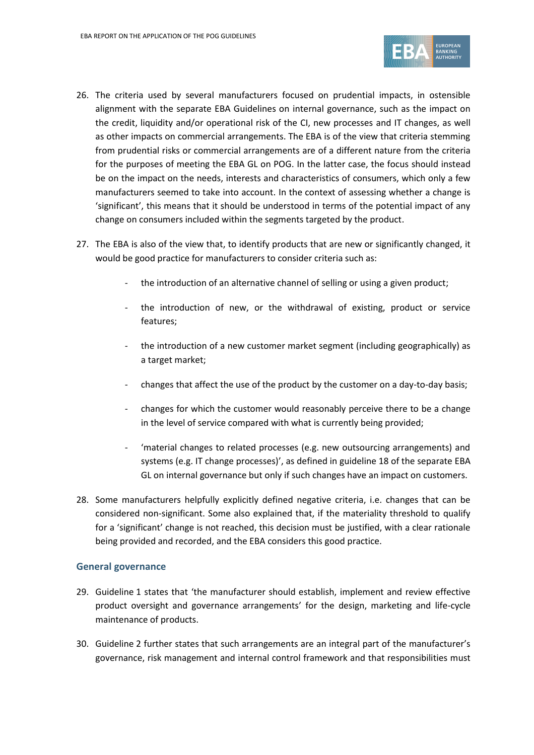

- 26. The criteria used by several manufacturers focused on prudential impacts, in ostensible alignment with the separate EBA Guidelines on internal governance, such as the impact on the credit, liquidity and/or operational risk of the CI, new processes and IT changes, as well as other impacts on commercial arrangements. The EBA is of the view that criteria stemming from prudential risks or commercial arrangements are of a different nature from the criteria for the purposes of meeting the EBA GL on POG. In the latter case, the focus should instead be on the impact on the needs, interests and characteristics of consumers, which only a few manufacturers seemed to take into account. In the context of assessing whether a change is 'significant', this means that it should be understood in terms of the potential impact of any change on consumers included within the segments targeted by the product.
- 27. The EBA is also of the view that, to identify products that are new or significantly changed, it would be good practice for manufacturers to consider criteria such as:
	- the introduction of an alternative channel of selling or using a given product;
	- the introduction of new, or the withdrawal of existing, product or service features;
	- the introduction of a new customer market segment (including geographically) as a target market;
	- changes that affect the use of the product by the customer on a day-to-day basis;
	- changes for which the customer would reasonably perceive there to be a change in the level of service compared with what is currently being provided;
	- 'material changes to related processes (e.g. new outsourcing arrangements) and systems (e.g. IT change processes)', as defined in guideline 18 of the separate EBA GL on internal governance but only if such changes have an impact on customers.
- 28. Some manufacturers helpfully explicitly defined negative criteria, i.e. changes that can be considered non-significant. Some also explained that, if the materiality threshold to qualify for a 'significant' change is not reached, this decision must be justified, with a clear rationale being provided and recorded, and the EBA considers this good practice.

## **General governance**

- 29. Guideline 1 states that 'the manufacturer should establish, implement and review effective product oversight and governance arrangements' for the design, marketing and life-cycle maintenance of products.
- 30. Guideline 2 further states that such arrangements are an integral part of the manufacturer's governance, risk management and internal control framework and that responsibilities must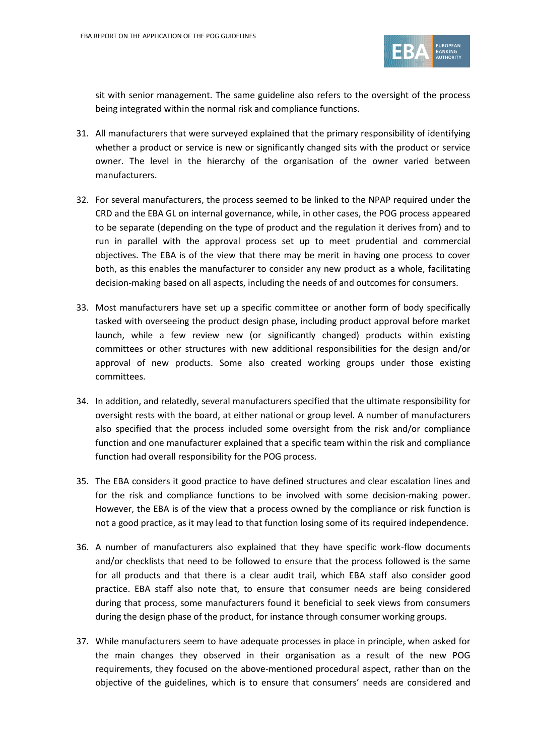

sit with senior management. The same guideline also refers to the oversight of the process being integrated within the normal risk and compliance functions.

- 31. All manufacturers that were surveyed explained that the primary responsibility of identifying whether a product or service is new or significantly changed sits with the product or service owner. The level in the hierarchy of the organisation of the owner varied between manufacturers.
- 32. For several manufacturers, the process seemed to be linked to the NPAP required under the CRD and the EBA GL on internal governance, while, in other cases, the POG process appeared to be separate (depending on the type of product and the regulation it derives from) and to run in parallel with the approval process set up to meet prudential and commercial objectives. The EBA is of the view that there may be merit in having one process to cover both, as this enables the manufacturer to consider any new product as a whole, facilitating decision-making based on all aspects, including the needs of and outcomes for consumers.
- 33. Most manufacturers have set up a specific committee or another form of body specifically tasked with overseeing the product design phase, including product approval before market launch, while a few review new (or significantly changed) products within existing committees or other structures with new additional responsibilities for the design and/or approval of new products. Some also created working groups under those existing committees.
- 34. In addition, and relatedly, several manufacturers specified that the ultimate responsibility for oversight rests with the board, at either national or group level. A number of manufacturers also specified that the process included some oversight from the risk and/or compliance function and one manufacturer explained that a specific team within the risk and compliance function had overall responsibility for the POG process.
- 35. The EBA considers it good practice to have defined structures and clear escalation lines and for the risk and compliance functions to be involved with some decision-making power. However, the EBA is of the view that a process owned by the compliance or risk function is not a good practice, as it may lead to that function losing some of its required independence.
- 36. A number of manufacturers also explained that they have specific work-flow documents and/or checklists that need to be followed to ensure that the process followed is the same for all products and that there is a clear audit trail, which EBA staff also consider good practice. EBA staff also note that, to ensure that consumer needs are being considered during that process, some manufacturers found it beneficial to seek views from consumers during the design phase of the product, for instance through consumer working groups.
- 37. While manufacturers seem to have adequate processes in place in principle, when asked for the main changes they observed in their organisation as a result of the new POG requirements, they focused on the above-mentioned procedural aspect, rather than on the objective of the guidelines, which is to ensure that consumers' needs are considered and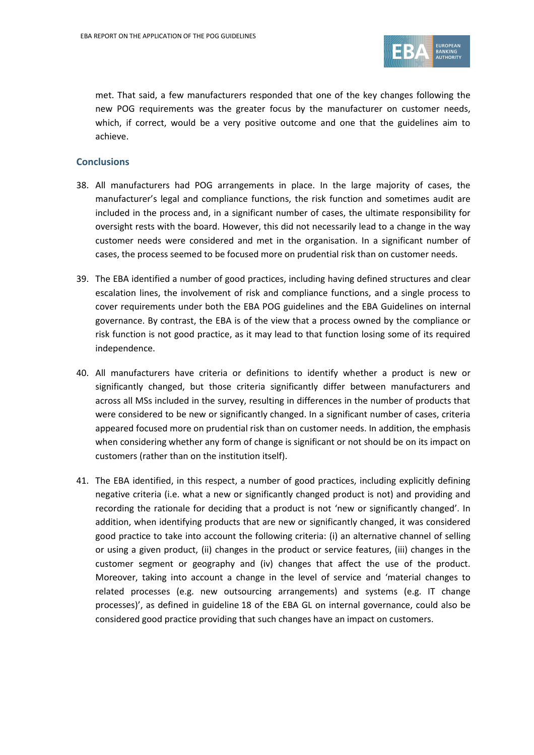

met. That said, a few manufacturers responded that one of the key changes following the new POG requirements was the greater focus by the manufacturer on customer needs, which, if correct, would be a very positive outcome and one that the guidelines aim to achieve.

#### **Conclusions**

- 38. All manufacturers had POG arrangements in place. In the large majority of cases, the manufacturer's legal and compliance functions, the risk function and sometimes audit are included in the process and, in a significant number of cases, the ultimate responsibility for oversight rests with the board. However, this did not necessarily lead to a change in the way customer needs were considered and met in the organisation. In a significant number of cases, the process seemed to be focused more on prudential risk than on customer needs.
- 39. The EBA identified a number of good practices, including having defined structures and clear escalation lines, the involvement of risk and compliance functions, and a single process to cover requirements under both the EBA POG guidelines and the EBA Guidelines on internal governance. By contrast, the EBA is of the view that a process owned by the compliance or risk function is not good practice, as it may lead to that function losing some of its required independence.
- 40. All manufacturers have criteria or definitions to identify whether a product is new or significantly changed, but those criteria significantly differ between manufacturers and across all MSs included in the survey, resulting in differences in the number of products that were considered to be new or significantly changed. In a significant number of cases, criteria appeared focused more on prudential risk than on customer needs. In addition, the emphasis when considering whether any form of change is significant or not should be on its impact on customers (rather than on the institution itself).
- 41. The EBA identified, in this respect, a number of good practices, including explicitly defining negative criteria (i.e. what a new or significantly changed product is not) and providing and recording the rationale for deciding that a product is not 'new or significantly changed'. In addition, when identifying products that are new or significantly changed, it was considered good practice to take into account the following criteria: (i) an alternative channel of selling or using a given product, (ii) changes in the product or service features, (iii) changes in the customer segment or geography and (iv) changes that affect the use of the product. Moreover, taking into account a change in the level of service and 'material changes to related processes (e.g. new outsourcing arrangements) and systems (e.g. IT change processes)', as defined in guideline 18 of the EBA GL on internal governance, could also be considered good practice providing that such changes have an impact on customers.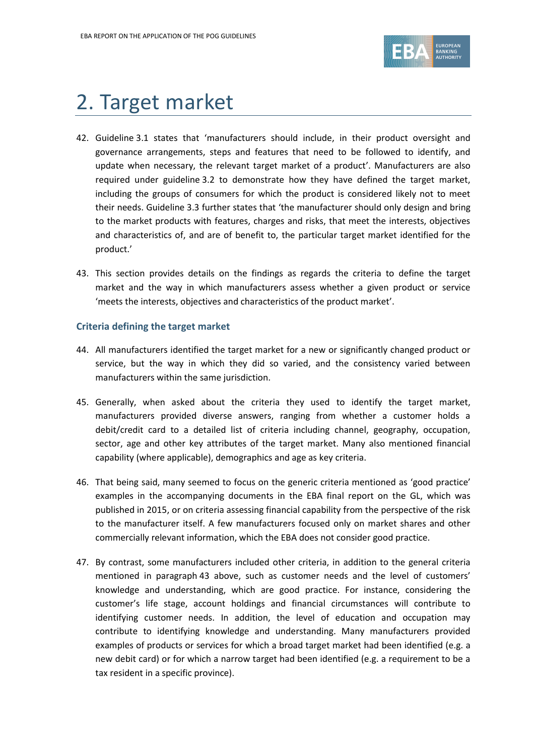

## 2. Target market

- 42. Guideline 3.1 states that 'manufacturers should include, in their product oversight and governance arrangements, steps and features that need to be followed to identify, and update when necessary, the relevant target market of a product'. Manufacturers are also required under guideline 3.2 to demonstrate how they have defined the target market, including the groups of consumers for which the product is considered likely not to meet their needs. Guideline 3.3 further states that 'the manufacturer should only design and bring to the market products with features, charges and risks, that meet the interests, objectives and characteristics of, and are of benefit to, the particular target market identified for the product.'
- 43. This section provides details on the findings as regards the criteria to define the target market and the way in which manufacturers assess whether a given product or service 'meets the interests, objectives and characteristics of the product market'.

#### **Criteria defining the target market**

- 44. All manufacturers identified the target market for a new or significantly changed product or service, but the way in which they did so varied, and the consistency varied between manufacturers within the same jurisdiction.
- 45. Generally, when asked about the criteria they used to identify the target market, manufacturers provided diverse answers, ranging from whether a customer holds a debit/credit card to a detailed list of criteria including channel, geography, occupation, sector, age and other key attributes of the target market. Many also mentioned financial capability (where applicable), demographics and age as key criteria.
- 46. That being said, many seemed to focus on the generic criteria mentioned as 'good practice' examples in the accompanying documents in the EBA final report on the GL, which was published in 2015, or on criteria assessing financial capability from the perspective of the risk to the manufacturer itself. A few manufacturers focused only on market shares and other commercially relevant information, which the EBA does not consider good practice.
- 47. By contrast, some manufacturers included other criteria, in addition to the general criteria mentioned in paragraph 43 above, such as customer needs and the level of customers' knowledge and understanding, which are good practice. For instance, considering the customer's life stage, account holdings and financial circumstances will contribute to identifying customer needs. In addition, the level of education and occupation may contribute to identifying knowledge and understanding. Many manufacturers provided examples of products or services for which a broad target market had been identified (e.g. a new debit card) or for which a narrow target had been identified (e.g. a requirement to be a tax resident in a specific province).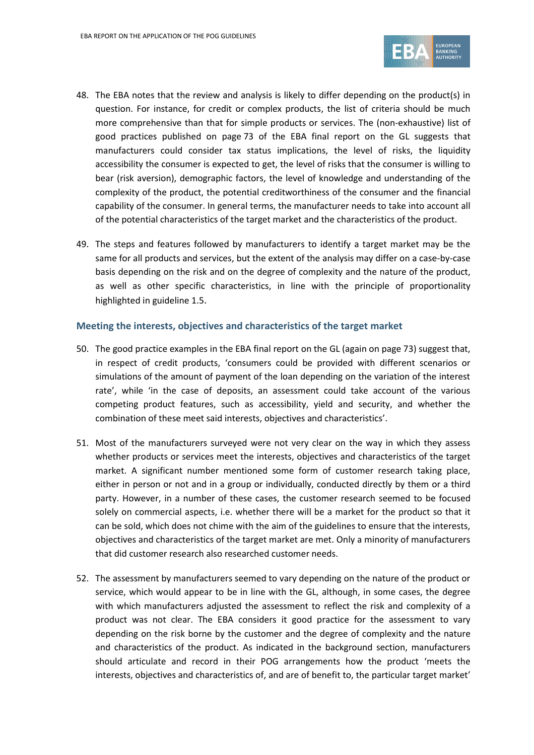

- 48. The EBA notes that the review and analysis is likely to differ depending on the product(s) in question. For instance, for credit or complex products, the list of criteria should be much more comprehensive than that for simple products or services. The (non-exhaustive) list of good practices published on page 73 of the EBA final report on the GL suggests that manufacturers could consider tax status implications, the level of risks, the liquidity accessibility the consumer is expected to get, the level of risks that the consumer is willing to bear (risk aversion), demographic factors, the level of knowledge and understanding of the complexity of the product, the potential creditworthiness of the consumer and the financial capability of the consumer. In general terms, the manufacturer needs to take into account all of the potential characteristics of the target market and the characteristics of the product.
- 49. The steps and features followed by manufacturers to identify a target market may be the same for all products and services, but the extent of the analysis may differ on a case-by-case basis depending on the risk and on the degree of complexity and the nature of the product, as well as other specific characteristics, in line with the principle of proportionality highlighted in guideline 1.5.

#### **Meeting the interests, objectives and characteristics of the target market**

- 50. The good practice examples in the EBA final report on the GL (again on page 73) suggest that, in respect of credit products, 'consumers could be provided with different scenarios or simulations of the amount of payment of the loan depending on the variation of the interest rate', while 'in the case of deposits, an assessment could take account of the various competing product features, such as accessibility, yield and security, and whether the combination of these meet said interests, objectives and characteristics'.
- 51. Most of the manufacturers surveyed were not very clear on the way in which they assess whether products or services meet the interests, objectives and characteristics of the target market. A significant number mentioned some form of customer research taking place, either in person or not and in a group or individually, conducted directly by them or a third party. However, in a number of these cases, the customer research seemed to be focused solely on commercial aspects, i.e. whether there will be a market for the product so that it can be sold, which does not chime with the aim of the guidelines to ensure that the interests, objectives and characteristics of the target market are met. Only a minority of manufacturers that did customer research also researched customer needs.
- 52. The assessment by manufacturers seemed to vary depending on the nature of the product or service, which would appear to be in line with the GL, although, in some cases, the degree with which manufacturers adjusted the assessment to reflect the risk and complexity of a product was not clear. The EBA considers it good practice for the assessment to vary depending on the risk borne by the customer and the degree of complexity and the nature and characteristics of the product. As indicated in the background section, manufacturers should articulate and record in their POG arrangements how the product 'meets the interests, objectives and characteristics of, and are of benefit to, the particular target market'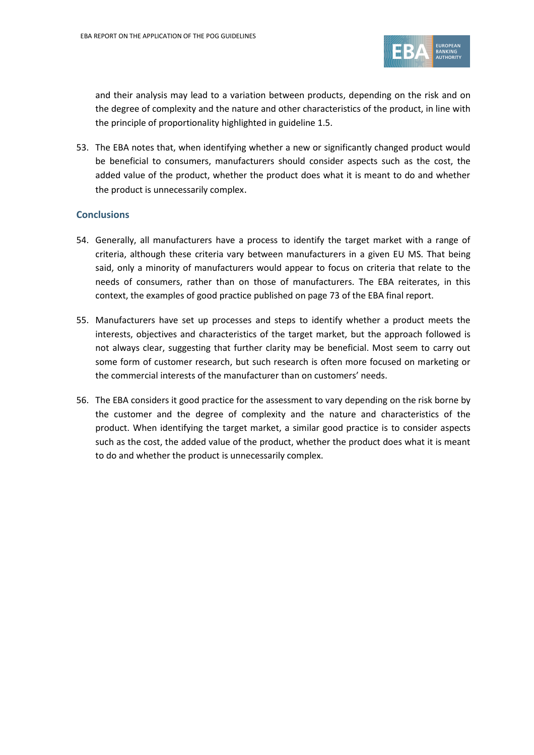

and their analysis may lead to a variation between products, depending on the risk and on the degree of complexity and the nature and other characteristics of the product, in line with the principle of proportionality highlighted in guideline 1.5.

53. The EBA notes that, when identifying whether a new or significantly changed product would be beneficial to consumers, manufacturers should consider aspects such as the cost, the added value of the product, whether the product does what it is meant to do and whether the product is unnecessarily complex.

## **Conclusions**

- 54. Generally, all manufacturers have a process to identify the target market with a range of criteria, although these criteria vary between manufacturers in a given EU MS. That being said, only a minority of manufacturers would appear to focus on criteria that relate to the needs of consumers, rather than on those of manufacturers. The EBA reiterates, in this context, the examples of good practice published on page 73 of the EBA final report.
- 55. Manufacturers have set up processes and steps to identify whether a product meets the interests, objectives and characteristics of the target market, but the approach followed is not always clear, suggesting that further clarity may be beneficial. Most seem to carry out some form of customer research, but such research is often more focused on marketing or the commercial interests of the manufacturer than on customers' needs.
- 56. The EBA considers it good practice for the assessment to vary depending on the risk borne by the customer and the degree of complexity and the nature and characteristics of the product. When identifying the target market, a similar good practice is to consider aspects such as the cost, the added value of the product, whether the product does what it is meant to do and whether the product is unnecessarily complex.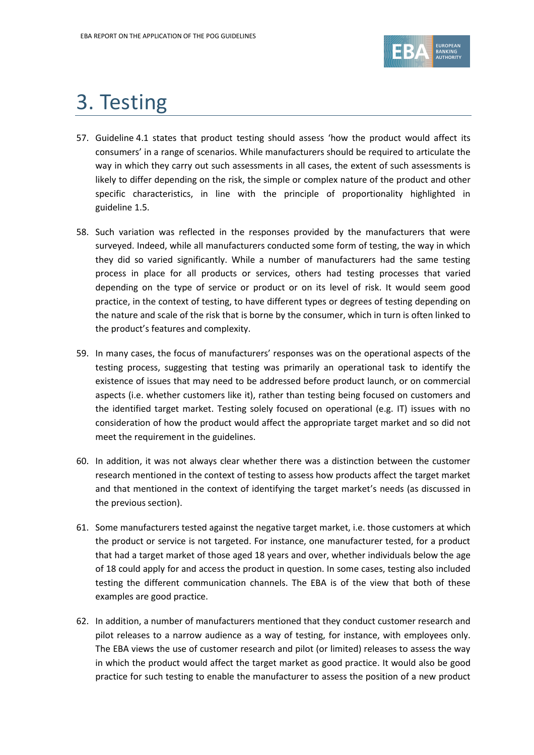

# 3. Testing

- 57. Guideline 4.1 states that product testing should assess 'how the product would affect its consumers' in a range of scenarios. While manufacturers should be required to articulate the way in which they carry out such assessments in all cases, the extent of such assessments is likely to differ depending on the risk, the simple or complex nature of the product and other specific characteristics, in line with the principle of proportionality highlighted in guideline 1.5.
- 58. Such variation was reflected in the responses provided by the manufacturers that were surveyed. Indeed, while all manufacturers conducted some form of testing, the way in which they did so varied significantly. While a number of manufacturers had the same testing process in place for all products or services, others had testing processes that varied depending on the type of service or product or on its level of risk. It would seem good practice, in the context of testing, to have different types or degrees of testing depending on the nature and scale of the risk that is borne by the consumer, which in turn is often linked to the product's features and complexity.
- 59. In many cases, the focus of manufacturers' responses was on the operational aspects of the testing process, suggesting that testing was primarily an operational task to identify the existence of issues that may need to be addressed before product launch, or on commercial aspects (i.e. whether customers like it), rather than testing being focused on customers and the identified target market. Testing solely focused on operational (e.g. IT) issues with no consideration of how the product would affect the appropriate target market and so did not meet the requirement in the guidelines.
- 60. In addition, it was not always clear whether there was a distinction between the customer research mentioned in the context of testing to assess how products affect the target market and that mentioned in the context of identifying the target market's needs (as discussed in the previous section).
- 61. Some manufacturers tested against the negative target market, i.e. those customers at which the product or service is not targeted. For instance, one manufacturer tested, for a product that had a target market of those aged 18 years and over, whether individuals below the age of 18 could apply for and access the product in question. In some cases, testing also included testing the different communication channels. The EBA is of the view that both of these examples are good practice.
- 62. In addition, a number of manufacturers mentioned that they conduct customer research and pilot releases to a narrow audience as a way of testing, for instance, with employees only. The EBA views the use of customer research and pilot (or limited) releases to assess the way in which the product would affect the target market as good practice. It would also be good practice for such testing to enable the manufacturer to assess the position of a new product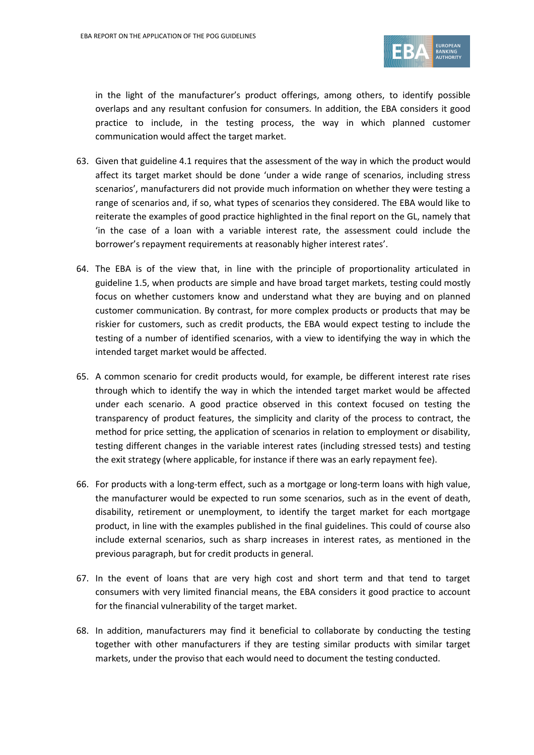

in the light of the manufacturer's product offerings, among others, to identify possible overlaps and any resultant confusion for consumers. In addition, the EBA considers it good practice to include, in the testing process, the way in which planned customer communication would affect the target market.

- 63. Given that guideline 4.1 requires that the assessment of the way in which the product would affect its target market should be done 'under a wide range of scenarios, including stress scenarios', manufacturers did not provide much information on whether they were testing a range of scenarios and, if so, what types of scenarios they considered. The EBA would like to reiterate the examples of good practice highlighted in the final report on the GL, namely that 'in the case of a loan with a variable interest rate, the assessment could include the borrower's repayment requirements at reasonably higher interest rates'.
- 64. The EBA is of the view that, in line with the principle of proportionality articulated in guideline 1.5, when products are simple and have broad target markets, testing could mostly focus on whether customers know and understand what they are buying and on planned customer communication. By contrast, for more complex products or products that may be riskier for customers, such as credit products, the EBA would expect testing to include the testing of a number of identified scenarios, with a view to identifying the way in which the intended target market would be affected.
- 65. A common scenario for credit products would, for example, be different interest rate rises through which to identify the way in which the intended target market would be affected under each scenario. A good practice observed in this context focused on testing the transparency of product features, the simplicity and clarity of the process to contract, the method for price setting, the application of scenarios in relation to employment or disability, testing different changes in the variable interest rates (including stressed tests) and testing the exit strategy (where applicable, for instance if there was an early repayment fee).
- 66. For products with a long-term effect, such as a mortgage or long-term loans with high value, the manufacturer would be expected to run some scenarios, such as in the event of death, disability, retirement or unemployment, to identify the target market for each mortgage product, in line with the examples published in the final guidelines. This could of course also include external scenarios, such as sharp increases in interest rates, as mentioned in the previous paragraph, but for credit products in general.
- 67. In the event of loans that are very high cost and short term and that tend to target consumers with very limited financial means, the EBA considers it good practice to account for the financial vulnerability of the target market.
- 68. In addition, manufacturers may find it beneficial to collaborate by conducting the testing together with other manufacturers if they are testing similar products with similar target markets, under the proviso that each would need to document the testing conducted.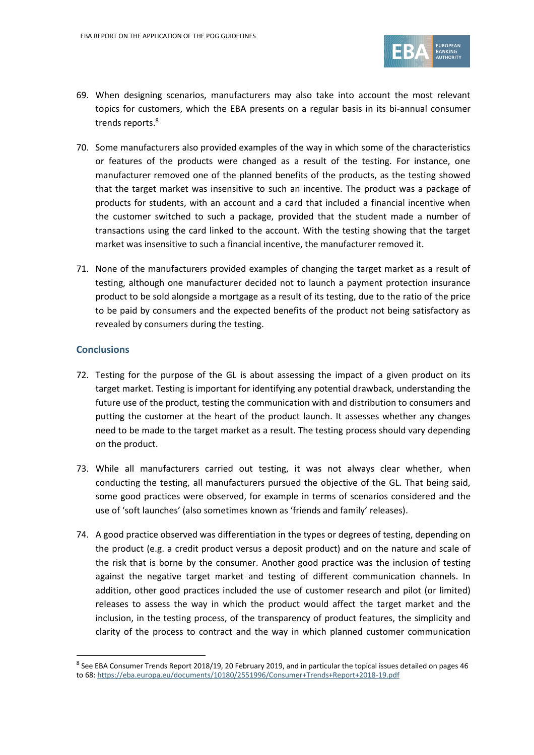

- 69. When designing scenarios, manufacturers may also take into account the most relevant topics for customers, which the EBA presents on a regular basis in its bi-annual consumer trends reports. 8
- 70. Some manufacturers also provided examples of the way in which some of the characteristics or features of the products were changed as a result of the testing. For instance, one manufacturer removed one of the planned benefits of the products, as the testing showed that the target market was insensitive to such an incentive. The product was a package of products for students, with an account and a card that included a financial incentive when the customer switched to such a package, provided that the student made a number of transactions using the card linked to the account. With the testing showing that the target market was insensitive to such a financial incentive, the manufacturer removed it.
- 71. None of the manufacturers provided examples of changing the target market as a result of testing, although one manufacturer decided not to launch a payment protection insurance product to be sold alongside a mortgage as a result of its testing, due to the ratio of the price to be paid by consumers and the expected benefits of the product not being satisfactory as revealed by consumers during the testing.

#### **Conclusions**

1

- 72. Testing for the purpose of the GL is about assessing the impact of a given product on its target market. Testing is important for identifying any potential drawback, understanding the future use of the product, testing the communication with and distribution to consumers and putting the customer at the heart of the product launch. It assesses whether any changes need to be made to the target market as a result. The testing process should vary depending on the product.
- 73. While all manufacturers carried out testing, it was not always clear whether, when conducting the testing, all manufacturers pursued the objective of the GL. That being said, some good practices were observed, for example in terms of scenarios considered and the use of 'soft launches' (also sometimes known as 'friends and family' releases).
- 74. A good practice observed was differentiation in the types or degrees of testing, depending on the product (e.g. a credit product versus a deposit product) and on the nature and scale of the risk that is borne by the consumer. Another good practice was the inclusion of testing against the negative target market and testing of different communication channels. In addition, other good practices included the use of customer research and pilot (or limited) releases to assess the way in which the product would affect the target market and the inclusion, in the testing process, of the transparency of product features, the simplicity and clarity of the process to contract and the way in which planned customer communication

<sup>&</sup>lt;sup>8</sup> See EBA Consumer Trends Report 2018/19, 20 February 2019, and in particular the topical issues detailed on pages 46 to 68[: https://eba.europa.eu/documents/10180/2551996/Consumer+Trends+Report+2018-19.pdf](https://eba.europa.eu/documents/10180/2551996/Consumer+Trends+Report+2018-19.pdf)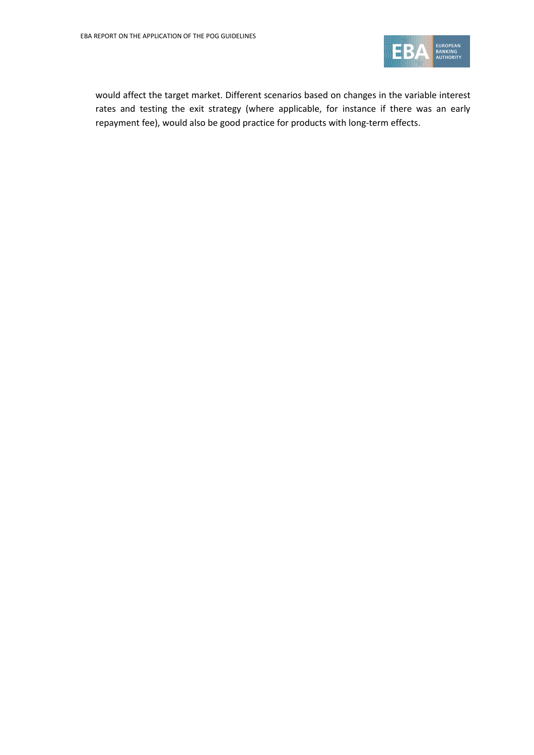

would affect the target market. Different scenarios based on changes in the variable interest rates and testing the exit strategy (where applicable, for instance if there was an early repayment fee), would also be good practice for products with long-term effects.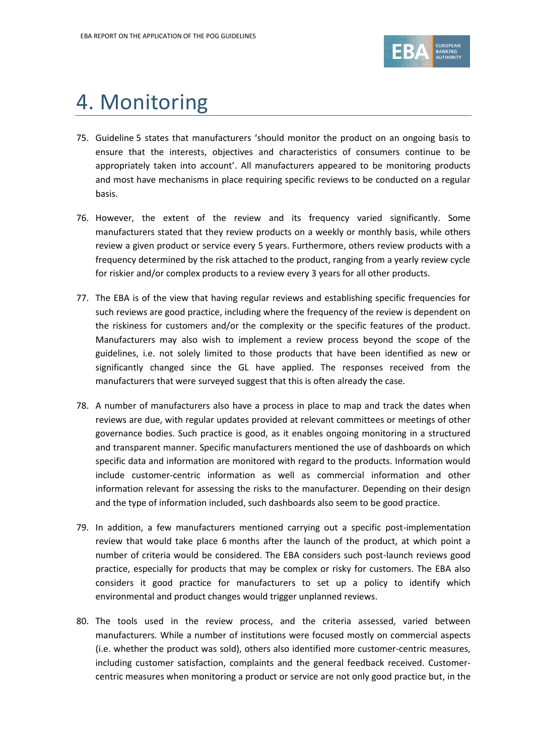

## 4. Monitoring

- 75. Guideline 5 states that manufacturers 'should monitor the product on an ongoing basis to ensure that the interests, objectives and characteristics of consumers continue to be appropriately taken into account'. All manufacturers appeared to be monitoring products and most have mechanisms in place requiring specific reviews to be conducted on a regular basis.
- 76. However, the extent of the review and its frequency varied significantly. Some manufacturers stated that they review products on a weekly or monthly basis, while others review a given product or service every 5 years. Furthermore, others review products with a frequency determined by the risk attached to the product, ranging from a yearly review cycle for riskier and/or complex products to a review every 3 years for all other products.
- 77. The EBA is of the view that having regular reviews and establishing specific frequencies for such reviews are good practice, including where the frequency of the review is dependent on the riskiness for customers and/or the complexity or the specific features of the product. Manufacturers may also wish to implement a review process beyond the scope of the guidelines, i.e. not solely limited to those products that have been identified as new or significantly changed since the GL have applied. The responses received from the manufacturers that were surveyed suggest that this is often already the case.
- 78. A number of manufacturers also have a process in place to map and track the dates when reviews are due, with regular updates provided at relevant committees or meetings of other governance bodies. Such practice is good, as it enables ongoing monitoring in a structured and transparent manner. Specific manufacturers mentioned the use of dashboards on which specific data and information are monitored with regard to the products. Information would include customer-centric information as well as commercial information and other information relevant for assessing the risks to the manufacturer. Depending on their design and the type of information included, such dashboards also seem to be good practice.
- 79. In addition, a few manufacturers mentioned carrying out a specific post-implementation review that would take place 6 months after the launch of the product, at which point a number of criteria would be considered. The EBA considers such post-launch reviews good practice, especially for products that may be complex or risky for customers. The EBA also considers it good practice for manufacturers to set up a policy to identify which environmental and product changes would trigger unplanned reviews.
- 80. The tools used in the review process, and the criteria assessed, varied between manufacturers. While a number of institutions were focused mostly on commercial aspects (i.e. whether the product was sold), others also identified more customer-centric measures, including customer satisfaction, complaints and the general feedback received. Customercentric measures when monitoring a product or service are not only good practice but, in the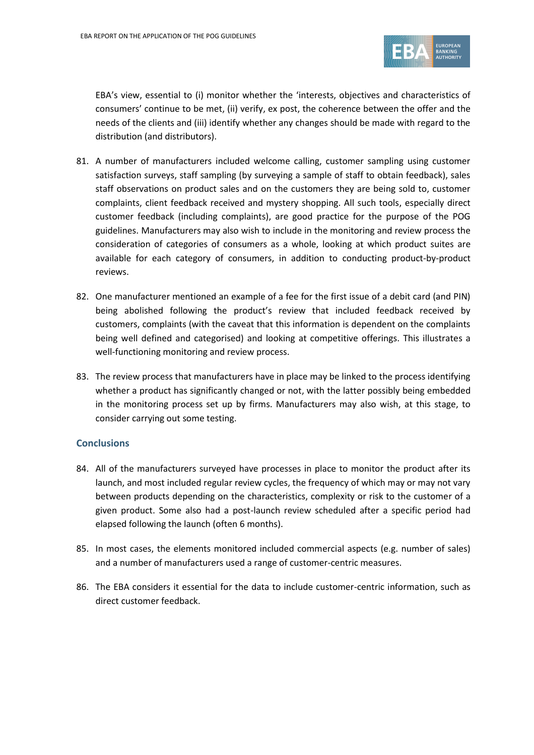

EBA's view, essential to (i) monitor whether the 'interests, objectives and characteristics of consumers' continue to be met, (ii) verify, ex post, the coherence between the offer and the needs of the clients and (iii) identify whether any changes should be made with regard to the distribution (and distributors).

- 81. A number of manufacturers included welcome calling, customer sampling using customer satisfaction surveys, staff sampling (by surveying a sample of staff to obtain feedback), sales staff observations on product sales and on the customers they are being sold to, customer complaints, client feedback received and mystery shopping. All such tools, especially direct customer feedback (including complaints), are good practice for the purpose of the POG guidelines. Manufacturers may also wish to include in the monitoring and review process the consideration of categories of consumers as a whole, looking at which product suites are available for each category of consumers, in addition to conducting product-by-product reviews.
- 82. One manufacturer mentioned an example of a fee for the first issue of a debit card (and PIN) being abolished following the product's review that included feedback received by customers, complaints (with the caveat that this information is dependent on the complaints being well defined and categorised) and looking at competitive offerings. This illustrates a well-functioning monitoring and review process.
- 83. The review process that manufacturers have in place may be linked to the process identifying whether a product has significantly changed or not, with the latter possibly being embedded in the monitoring process set up by firms. Manufacturers may also wish, at this stage, to consider carrying out some testing.

## **Conclusions**

- 84. All of the manufacturers surveyed have processes in place to monitor the product after its launch, and most included regular review cycles, the frequency of which may or may not vary between products depending on the characteristics, complexity or risk to the customer of a given product. Some also had a post-launch review scheduled after a specific period had elapsed following the launch (often 6 months).
- 85. In most cases, the elements monitored included commercial aspects (e.g. number of sales) and a number of manufacturers used a range of customer-centric measures.
- 86. The EBA considers it essential for the data to include customer-centric information, such as direct customer feedback.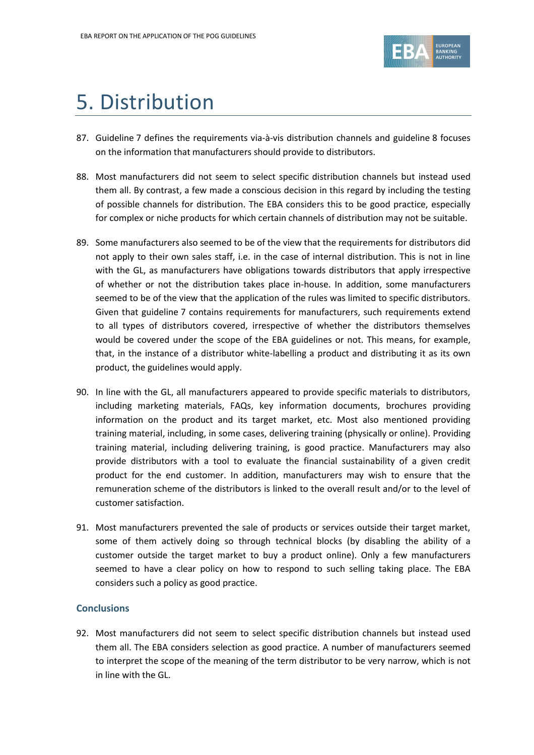

## 5. Distribution

- 87. Guideline 7 defines the requirements via-à-vis distribution channels and guideline 8 focuses on the information that manufacturers should provide to distributors.
- 88. Most manufacturers did not seem to select specific distribution channels but instead used them all. By contrast, a few made a conscious decision in this regard by including the testing of possible channels for distribution. The EBA considers this to be good practice, especially for complex or niche products for which certain channels of distribution may not be suitable.
- 89. Some manufacturers also seemed to be of the view that the requirements for distributors did not apply to their own sales staff, i.e. in the case of internal distribution. This is not in line with the GL, as manufacturers have obligations towards distributors that apply irrespective of whether or not the distribution takes place in-house. In addition, some manufacturers seemed to be of the view that the application of the rules was limited to specific distributors. Given that guideline 7 contains requirements for manufacturers, such requirements extend to all types of distributors covered, irrespective of whether the distributors themselves would be covered under the scope of the EBA guidelines or not. This means, for example, that, in the instance of a distributor white-labelling a product and distributing it as its own product, the guidelines would apply.
- 90. In line with the GL, all manufacturers appeared to provide specific materials to distributors, including marketing materials, FAQs, key information documents, brochures providing information on the product and its target market, etc. Most also mentioned providing training material, including, in some cases, delivering training (physically or online). Providing training material, including delivering training, is good practice. Manufacturers may also provide distributors with a tool to evaluate the financial sustainability of a given credit product for the end customer. In addition, manufacturers may wish to ensure that the remuneration scheme of the distributors is linked to the overall result and/or to the level of customer satisfaction.
- 91. Most manufacturers prevented the sale of products or services outside their target market, some of them actively doing so through technical blocks (by disabling the ability of a customer outside the target market to buy a product online). Only a few manufacturers seemed to have a clear policy on how to respond to such selling taking place. The EBA considers such a policy as good practice.

## **Conclusions**

92. Most manufacturers did not seem to select specific distribution channels but instead used them all. The EBA considers selection as good practice. A number of manufacturers seemed to interpret the scope of the meaning of the term distributor to be very narrow, which is not in line with the GL.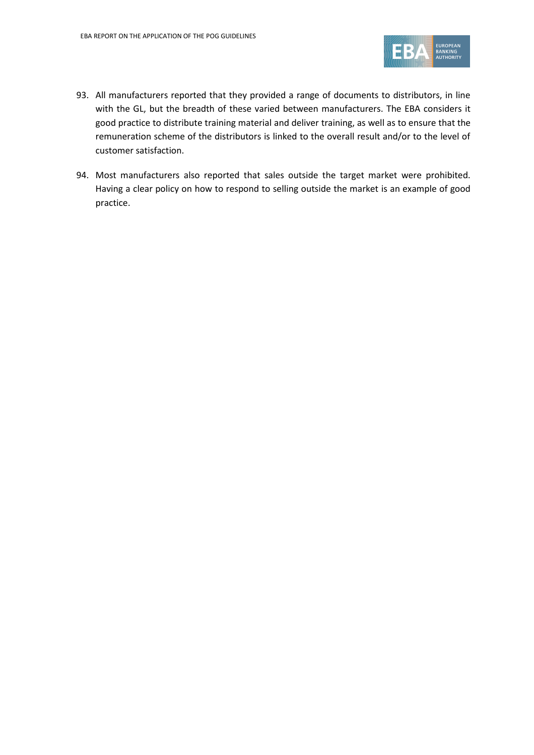

- 93. All manufacturers reported that they provided a range of documents to distributors, in line with the GL, but the breadth of these varied between manufacturers. The EBA considers it good practice to distribute training material and deliver training, as well as to ensure that the remuneration scheme of the distributors is linked to the overall result and/or to the level of customer satisfaction.
- 94. Most manufacturers also reported that sales outside the target market were prohibited. Having a clear policy on how to respond to selling outside the market is an example of good practice.